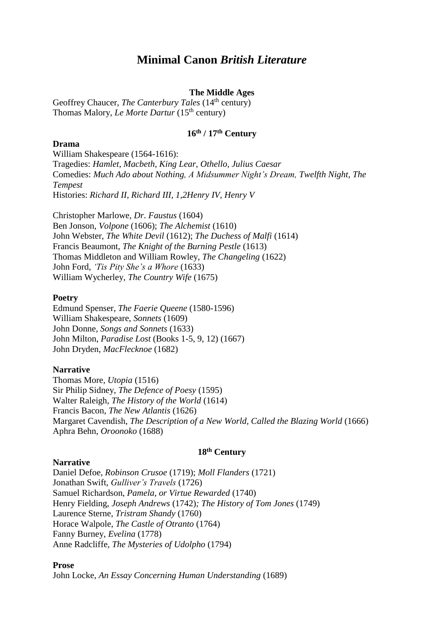# **Minimal Canon** *British Literature*

# **The Middle Ages**

Geoffrey Chaucer, *The Canterbury Tales* (14<sup>th</sup> century) Thomas Malory, *Le Morte Dartur* (15th century)

# **16th / 17th Century**

## **Drama**

William Shakespeare (1564-1616): Tragedies: *Hamlet, Macbeth, King Lear, Othello, Julius Caesar* Comedies: *Much Ado about Nothing, A Midsummer Night's Dream, Twelfth Night, The Tempest* Histories: *Richard II, Richard III, 1,2Henry IV, Henry V*

Christopher Marlowe, *Dr. Faustus* (1604) Ben Jonson, *Volpone* (1606); *The Alchemist* (1610) John Webster, *The White Devil* (1612); *The Duchess of Malfi* (1614) Francis Beaumont, *The Knight of the Burning Pestle* (1613) Thomas Middleton and William Rowley, *The Changeling* (1622) John Ford, *'Tis Pity She's a Whore* (1633) William Wycherley, *The Country Wife* (1675)

### **Poetry**

Edmund Spenser, *The Faerie Queene* (1580-1596) William Shakespeare, *Sonnets* (1609) John Donne*, Songs and Sonnets* (1633) John Milton, *Paradise Lost* (Books 1-5, 9, 12) (1667) John Dryden, *MacFlecknoe* (1682)

## **Narrative**

Thomas More, *Utopia* (1516) Sir Philip Sidney, *The Defence of Poesy* (1595) Walter Raleigh, *The History of the World* (1614) Francis Bacon, *The New Atlantis* (1626) Margaret Cavendish, *The Description of a New World, Called the Blazing World* (1666) Aphra Behn, *Oroonoko* (1688)

#### **18th Century**

#### **Narrative**

Daniel Defoe, *Robinson Crusoe* (1719); *Moll Flanders* (1721) Jonathan Swift, *Gulliver's Travels* (1726) Samuel Richardson, *Pamela, or Virtue Rewarded* (1740) Henry Fielding, *Joseph Andrews* (1742)*; The History of Tom Jones* (1749) Laurence Sterne, *Tristram Shandy* (1760) Horace Walpole, *The Castle of Otranto* (1764) Fanny Burney, *Evelina* (1778) Anne Radcliffe, *The Mysteries of Udolpho* (1794)

#### **Prose**

John Locke, *An Essay Concerning Human Understanding* (1689)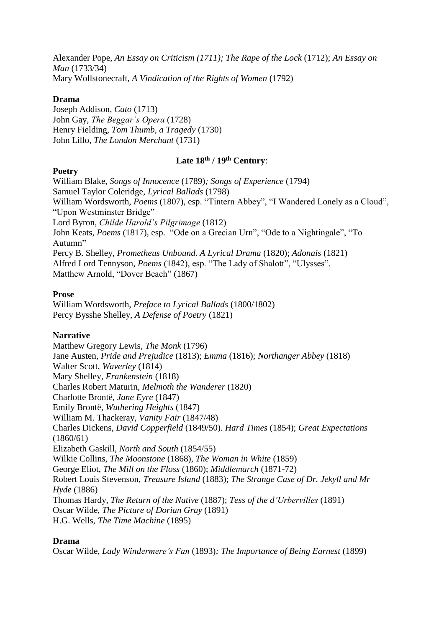Alexander Pope, *An Essay on Criticism (1711); The Rape of the Lock* (1712); *An Essay on Man* (1733/34) Mary Wollstonecraft, *A Vindication of the Rights of Women* (1792)

# **Drama**

Joseph Addison, *Cato* (1713) John Gay, *The Beggar's Opera* (1728) Henry Fielding, *Tom Thumb, a Tragedy* (1730) John Lillo, *The London Merchant* (1731)

# **Late 18th / 19th Century**:

# **Poetry**

William Blake, *Songs of Innocence* (1789)*; Songs of Experience* (1794) Samuel Taylor Coleridge, *Lyrical Ballads* (1798) William Wordsworth, *Poems* (1807), esp. "Tintern Abbey", "I Wandered Lonely as a Cloud", "Upon Westminster Bridge" Lord Byron, *Childe Harold's Pilgrimage* (1812) John Keats, *Poems* (1817), esp. "Ode on a Grecian Urn", "Ode to a Nightingale", "To Autumn" Percy B. Shelley, *Prometheus Unbound. A Lyrical Drama* (1820); *Adonais* (1821) Alfred Lord Tennyson, *Poems* (1842), esp. "The Lady of Shalott", "Ulysses". Matthew Arnold, "Dover Beach" (1867)

# **Prose**

William Wordsworth, *Preface to Lyrical Ballads* (1800/1802) Percy Bysshe Shelley, *A Defense of Poetry* (1821)

# **Narrative**

Matthew Gregory Lewis, *The Monk* (1796) Jane Austen, *Pride and Prejudice* (1813); *Emma* (1816); *Northanger Abbey* (1818) Walter Scott, *Waverley* (1814) Mary Shelley, *Frankenstein* (1818) Charles Robert Maturin, *Melmoth the Wanderer* (1820) Charlotte Brontë, *Jane Eyre* (1847) Emily Brontë, *Wuthering Heights* (1847) William M. Thackeray, *Vanity Fair* (1847/48) Charles Dickens, *David Copperfield* (1849/50)*. Hard Times* (1854); *Great Expectations* (1860/61) Elizabeth Gaskill, *North and South* (1854/55) Wilkie Collins, *The Moonstone* (1868), *The Woman in White* (1859) George Eliot, *The Mill on the Floss* (1860); *Middlemarch* (1871-72) Robert Louis Stevenson, *Treasure Island* (1883); *The Strange Case of Dr. Jekyll and Mr Hyde* (1886) Thomas Hardy, *The Return of the Native* (1887); *Tess of the d'Urbervilles* (1891) Oscar Wilde, *The Picture of Dorian Gray* (1891) H.G. Wells, *The Time Machine* (1895)

## **Drama**

Oscar Wilde, *Lady Windermere's Fan* (1893)*; The Importance of Being Earnest* (1899)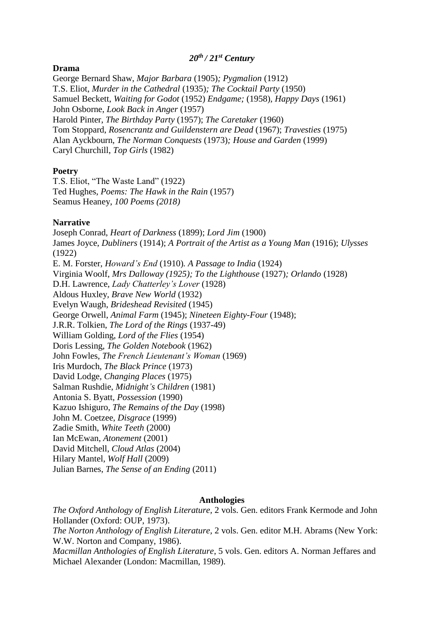## *20th / 21st Century*

#### **Drama**

George Bernard Shaw, *Major Barbara* (1905)*; Pygmalion* (1912) T.S. Eliot, *Murder in the Cathedral* (1935)*; The Cocktail Party* (1950) Samuel Beckett, *Waiting for Godot* (1952) *Endgame;* (1958)*, Happy Days* (1961) John Osborne, *Look Back in Anger* (1957) Harold Pinter, *The Birthday Party* (1957); *The Caretaker* (1960) Tom Stoppard, *Rosencrantz and Guildenstern are Dead* (1967); *Travesties* (1975) Alan Ayckbourn, *The Norman Conquests* (1973)*; House and Garden* (1999) Caryl Churchill, *Top Girls* (1982)

### **Poetry**

T.S. Eliot, "The Waste Land" (1922) Ted Hughes, *Poems: The Hawk in the Rain* (1957) Seamus Heaney, *100 Poems (2018)*

### **Narrative**

Joseph Conrad, *Heart of Darkness* (1899); *Lord Jim* (1900) James Joyce, *Dubliners* (1914); *A Portrait of the Artist as a Young Man* (1916); *Ulysses*  (1922) E. M. Forster, *Howard's End* (1910)*. A Passage to India* (1924) Virginia Woolf, *Mrs Dalloway (1925); To the Lighthouse* (1927)*; Orlando* (1928) D.H. Lawrence, *Lady Chatterley's Lover* (1928) Aldous Huxley*, Brave New World* (1932) Evelyn Waugh, *Brideshead Revisited* (1945) George Orwell, *Animal Farm* (1945); *Nineteen Eighty-Four* (1948); J.R.R. Tolkien, *The Lord of the Rings* (1937-49) William Golding, *Lord of the Flies* (1954) Doris Lessing, *The Golden Notebook* (1962) John Fowles, *The French Lieutenant's Woman* (1969) Iris Murdoch, *The Black Prince* (1973) David Lodge*, Changing Places* (1975) Salman Rushdie, *Midnight's Children* (1981) Antonia S. Byatt, *Possession* (1990) Kazuo Ishiguro, *The Remains of the Day* (1998) John M. Coetzee, *Disgrace* (1999) Zadie Smith, *White Teeth* (2000) Ian McEwan, *Atonement* (2001) David Mitchell, *Cloud Atlas* (2004) Hilary Mantel, *Wolf Hall* (2009) Julian Barnes, *The Sense of an Ending* (2011)

#### **Anthologies**

*The Oxford Anthology of English Literature,* 2 vols. Gen. editors Frank Kermode and John Hollander (Oxford: OUP, 1973). *The Norton Anthology of English Literature,* 2 vols. Gen. editor M.H. Abrams (New York: W.W. Norton and Company, 1986). *Macmillan Anthologies of English Literature*, 5 vols. Gen. editors A. Norman Jeffares and Michael Alexander (London: Macmillan, 1989).